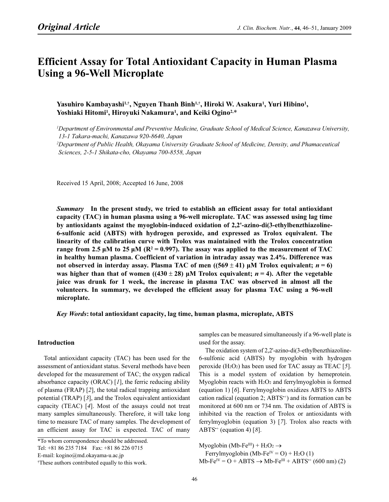# **Efficient Assay for Total Antioxidant Capacity in Human Plasma** Using a 96-Well Microplate

Yasuhiro Kambayashi<sup>1,†</sup>, Nguyen Thanh Binh<sup>1,†</sup>, Hiroki W. Asakura<sup>1</sup>, Yuri Hibino<sup>1</sup>, Yasuhiro Kambayashi<sup>i, T</sup>, Nguyen Thanh Binh<sup>i, T</sup>, Hiroki W. 4<br>Yoshiaki Hitomi<sup>1</sup>, Hiroyuki Nakamura<sup>1</sup>, and Keiki Ogino<sup>2,\*</sup>

<sup>1</sup>Department of Environmental and Preventive Medicine, Graduate School of Medical Science, Kanazawa University, 13-1 Takara-machi, Kanazawa 920-8640, Japan <sup>2</sup>Department of Public Health, Okayama University Graduate School of Medicine, Density, and Phamaceutical Sciences, 2-5-1 Shikata-cho, Okayama 700-8558, Japan

Received 15 April, 2008; Accepted 16 June, 2008

Summary In the present study, we tried to establish an efficient assay for total antioxidant capacity (TAC) in human plasma using a 96-well microplate. TAC was assessed using lag time by antioxidants against the myoglobin-induced oxidation of 2,2'-azino-di(3-ethylbenzthiazoline-6-sulfonic acid (ABTS) with hydrogen peroxide, and expressed as Trolox equivalent. The linearity of the calibration curve with Trolox was maintained with the Trolox concentration range from 2.5  $\mu$ M to 25  $\mu$ M (R<sup>2</sup> = 0.997). The assay was applied to the measurement of TAC in healthy human plasma. Coefficient of variation in intraday assay was 2.4%. Difference was not observed in interday assay. Plasma TAC of men  $((569 \pm 41) \,\mu\text{M}$  Trolox equivalent;  $n = 6$ ) was higher than that of women ((430  $\pm$  28) µM Trolox equivalent; *n* = 4). After the vegetable juice was drunk for 1 week, the increase in plasma TAC was observed in almost all the volunteers. In summary, we developed the efficient assay for plasma TAC using a 96-well microplate.

# Key Words: total antioxidant capacity, lag time, human plasma, microplate, ABTS

#### Introduction

Total antioxidant capacity (TAC) has been used for the assessment of antioxidant status. Several methods have been developed for the measurement of TAC; the oxygen radical absorbance capacity (ORAC)  $[1]$ , the ferric reducing ability of plasma (FRAP) [2], the total radical trapping antioxidant potential (TRAP) [3], and the Trolox equivalent antioxidant capacity (TEAC) [4]. Most of the assays could not treat many samples simultaneously. Therefore, it will take long time to measure TAC of many samples. The development of an efficient assay for TAC is expected. TAC of many

Tel: +81 86 235 7184 Fax: +81 86 226 0715

E-mail: kogino@md.okayama-u.ac.jp

samples can be measured simultaneously if a 96-well plate is used for the assay.

The oxidation system of 2,2'-azino-di(3-ethylbenzthiazoline-6-sulfonic acid (ABTS) by myoglobin with hydrogen peroxide  $(H_2O_2)$  has been used for TAC assay as TEAC [5]. This is a model system of oxidation by hemeprotein. Myoglobin reacts with  $H_2O_2$  and ferrylmyoglobin is formed (equation 1) [6]. Ferrylmyoglobin oxidizes ABTS to ABTS cation radical (equation 2;  $ABTS^+$ ) and its formation can be monitored at 600 nm or 734 nm. The oxidation of ABTS is inhibited via the reaction of Trolox or antioxidants with ferrylmyoglobin (equation 3) [7]. Trolox also reacts with ABTS<sup> $+$ </sup> (equation 4) [8].

Myoglobin (Mb-Fe $III$ ) + H<sub>2</sub>O<sub>2</sub>  $\rightarrow$ 

Ferrylmyoglobin (Mb-Fe<sup>IV</sup> = O) + H<sub>2</sub>O (1)  $Mb-Fe<sup>IV</sup> = O + ABTS \rightarrow Mb-Fe<sup>III</sup> + ABTS<sup>+</sup> (600 nm) (2)$ 

<sup>\*</sup>To whom correspondence should be addressed.

<sup>†</sup> These authors contributed equally to this work.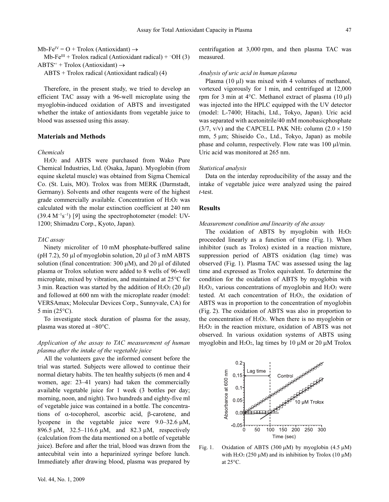Mb-Fe<sup>IV</sup> =  $O$  + Trolox (Antioxidant)  $\rightarrow$ Mb-Fe<sup>III</sup> + Trolox radical (Antioxidant radical) +  $\overline{O}$ H (3)

 $ABTS^*$  + Trolox (Antioxidant)  $\rightarrow$ ABTS + Trolox radical (Antioxidant radical) (4)

Therefore, in the present study, we tried to develop an efficient TAC assay with a 96-well microplate using the myoglobin-induced oxidation of ABTS and investigated whether the intake of antioxidants from vegetable juice to blood was assessed using this assay.

# Materials and Methods

## Chemicals

H2O2 and ABTS were purchased from Wako Pure Chemical Industries, Ltd. (Osaka, Japan). Myoglobin (from equine skeletal muscle) was obtained from Sigma Chemical Co. (St. Luis, MO). Trolox was from MERK (Darmstadt, Germany). Solvents and other reagents were of the highest grade commercially available. Concentration of  $H_2O_2$  was calculated with the molar extinction coefficient at 240 nm  $\frac{1}{\text{grade}}$  comm<br>calculated w<br>(39.4 M<sup>-1</sup>s<sup>-1</sup>  $(39.4 \text{ M}^{-1}\text{s}^{-1})$  [9] using the spectrophotometer (model: UV-1200; Shimadzu Corp., Kyoto, Japan).

## TAC assay

Ninety microliter of 10 mM phosphate-buffered saline (pH 7.2), 50 μl of myoglobin solution, 20 μl of 3 mM ABTS solution (final concentration:  $300 \mu M$ ), and  $20 \mu I$  of diluted plasma or Trolox solution were added to 8 wells of 96-well microplate, mixed by vibration, and maintained at 25°C for 3 min. Reaction was started by the addition of  $H_2O_2$  (20  $\mu$ l) and followed at 600 nm with the microplate reader (model: VERSAmax; Molecular Devices Corp., Sunnyvale, CA) for 5 min (25°C).

To investigate stock duration of plasma for the assay, plasma was stored at −80°C.

# Application of the assay to TAC measurement of human plasma after the intake of the vegetable juice

All the volunteers gave the informed consent before the trial was started. Subjects were allowed to continue their normal dietary habits. The ten healthy subjects (6 men and 4 women, age: 23–41 years) had taken the commercially available vegetable juice for 1 week (3 bottles per day; morning, noon, and night). Two hundreds and eighty-five ml of vegetable juice was contained in a bottle. The concentrations of α-tocopherol, ascorbic acid, β-carotene, and lycopene in the vegetable juice were 9.0–32.6 μM, 896.5 μM, 32.5–116.6 μM, and 82.3 μM, respectively (calculation from the data mentioned on a bottle of vegetable juice). Before and after the trial, blood was drawn from the antecubital vein into a heparinized syringe before lunch. Immediately after drawing blood, plasma was prepared by

centrifugation at 3,000 rpm, and then plasma TAC was measured.

## Analysis of uric acid in human plasma

Plasma (10 μl) was mixed with 4 volumes of methanol, vortexed vigorously for 1 min, and centrifuged at 12,000 rpm for 3 min at 4°C. Methanol extract of plasma (10 μl) was injected into the HPLC equipped with the UV detector (model: L-7400; Hitachi, Ltd., Tokyo, Japan). Uric acid was separated with acetonitrile/40 mM monobasicphosphate  $(3/7, v/v)$  and the CAPCELL PAK NH<sub>2</sub> column  $(2.0 \times 150)$ mm, 5 μm; Shiseido Co., Ltd., Tokyo, Japan) as mobile phase and column, respectively. Flow rate was 100 μl/min. Uric acid was monitored at 265 nm.

#### Statistical analysis

Data on the interday reproducibility of the assay and the intake of vegetable juice were analyzed using the paired t-test.

# **Results**

#### Measurement condition and linearity of the assay

The oxidation of ABTS by myoglobin with  $H_2O_2$ proceeded linearly as a function of time (Fig. 1). When inhibitor (such as Trolox) existed in a reaction mixture, suppression period of ABTS oxidation (lag time) was observed (Fig. 1). Plasma TAC was assessed using the lag time and expressed as Trolox equivalent. To determine the condition for the oxidation of ABTS by myoglobin with H<sub>2</sub>O<sub>2</sub>, various concentrations of myoglobin and H<sub>2</sub>O<sub>2</sub> were tested. At each concentration of H2O2, the oxidation of ABTS was in proportion to the concentration of myoglobin (Fig. 2). The oxidation of ABTS was also in proportion to the concentration of  $H_2O_2$ . When there is no myoglobin or H2O2 in the reaction mixture, oxidation of ABTS was not observed. In various oxidation systems of ABTS using myoglobin and H2O2, lag times by 10 μM or 20 μM Trolox



Fig. 1. Oxidation of ABTS (300  $\mu$ M) by myoglobin (4.5  $\mu$ M) with H<sub>2</sub>O<sub>2</sub> (250  $\mu$ M) and its inhibition by Trolox (10  $\mu$ M) at 25°C.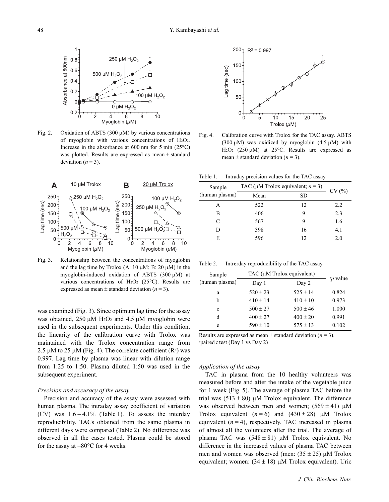

Fig. 2. Oxidation of ABTS (300  $\mu$ M) by various concentrations of myoglobin with various concentrations of  $H_2O_2$ . Increase in the absorbance at 600 nm for 5 min  $(25^{\circ}C)$ was plotted. Results are expressed as mean ± standard deviation  $(n = 3)$ .



Fig. 3. Relationship between the concentrations of myoglobin and the lag time by Trolox (A:  $10 \mu$ M; B:  $20 \mu$ M) in the myoglobin-induced oxidation of ABTS (300 µM) at various concentrations of H<sub>2</sub>O<sub>2</sub> (25 $^{\circ}$ C). Results are expressed as mean  $\pm$  standard deviation ( $n = 3$ ).

was examined (Fig. 3). Since optimum lag time for the assay was obtained,  $250 \mu M$  H<sub>2</sub>O<sub>2</sub> and  $4.5 \mu M$  myoglobin were used in the subsequent experiments. Under this condition, the linearity of the calibration curve with Trolox was maintained with the Trolox concentration range from 2.5  $\mu$ M to 25  $\mu$ M (Fig. 4). The correlate coefficient (R<sup>2</sup>) was 0.997. Lag time by plasma was linear with dilution range from 1:25 to 1:50. Plasma diluted 1:50 was used in the subsequent experiment.

## Precision and accuracy of the assay

Precision and accuracy of the assay were assessed with human plasma. The intraday assay coefficient of variation  $(CV)$  was  $1.6 - 4.1\%$  (Table 1). To assess the interday reproducibility, TACs obtained from the same plasma in different days were compared (Table 2). No difference was observed in all the cases tested. Plasma could be stored for the assay at −80°C for 4 weeks.



Fig. 4. Calibration curve with Trolox for the TAC assay. ABTS (300  $\mu$ M) was oxidized by myoglobin (4.5  $\mu$ M) with H<sub>2</sub>O<sub>2</sub> (250  $\mu$ M) at 25<sup>o</sup>C. Results are expressed as mean  $\pm$  standard deviation ( $n = 3$ ).

Table 1. Intraday precision values for the TAC assay

| Sample         | TAC ( $\mu$ M Trolox equivalent; <i>n</i> = 3) |    | CV(%) |
|----------------|------------------------------------------------|----|-------|
| (human plasma) | Mean                                           | SD |       |
| A              | 522                                            | 12 | 2.2   |
| в              | 406                                            | Q  | 2.3   |
| C              | 567                                            | 9  | 1.6   |
| D              | 398                                            | 16 | 4.1   |
| E              | 596                                            | 12 | 2.0   |

Table 2. Intrerday reproducibility of the TAC assay

| Sample         | TAC $(\mu M$ Trolox equivalent) |              |                      |
|----------------|---------------------------------|--------------|----------------------|
| (human plasma) | Day 1                           | Day 2        | <sup>a</sup> p value |
| a              | $520 \pm 23$                    | $525 \pm 14$ | 0.824                |
| h              | $410 \pm 14$                    | $410 \pm 10$ | 0.973                |
| c              | $500 \pm 27$                    | $500 \pm 46$ | 1.000                |
| d              | $400 \pm 27$                    | $400 \pm 20$ | 0.991                |
| e              | $590 \pm 10$                    | $575 \pm 13$ | 0.102                |

Results are expressed as mean  $\pm$  standard deviation ( $n = 3$ ). <sup>a</sup>paired *t* test (Day 1 vs Day 2)

#### Application of the assay

TAC in plasma from the 10 healthy volunteers was measured before and after the intake of the vegetable juice for 1 week (Fig. 5). The average of plasma TAC before the trial was  $(513 \pm 80)$  μM Trolox equivalent. The difference was observed between men and women;  $(569 \pm 41)$  μM Trolox equivalent  $(n = 6)$  and  $(430 \pm 28)$  μM Trolox equivalent  $(n = 4)$ , respectively. TAC increased in plasma of almost all the volunteers after the trial. The average of plasma TAC was  $(548 \pm 81)$  μM Trolox equivalent. No difference in the increased values of plasma TAC between men and women was observed (men:  $(35 \pm 25)$  µM Trolox equivalent; women:  $(34 \pm 18)$  μM Trolox equivalent). Uric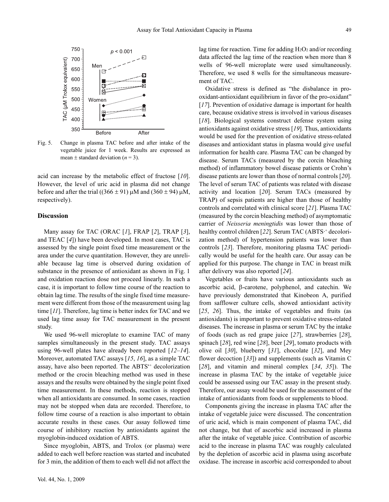

Fig. 5. Change in plasma TAC before and after intake of the vegetable juice for 1 week. Results are expressed as mean  $\pm$  standard deviation ( $n = 3$ ).

acid can increase by the metabolic effect of fructose [10]. However, the level of uric acid in plasma did not change before and after the trial ((366  $\pm$  91) μM and (360  $\pm$  94) μM, respectively).

# **Discussion**

Many assay for TAC (ORAC  $[I]$ , FRAP  $[2]$ , TRAP  $[3]$ , and TEAC [4]) have been developed. In most cases, TAC is assessed by the single point fixed time measurement or the area under the curve quantitation. However, they are unreliable because lag time is observed during oxidation of substance in the presence of antioxidant as shown in Fig. 1 and oxidation reaction dose not proceed linearly. In such a case, it is important to follow time course of the reaction to obtain lag time. The results of the single fixed time measurement were different from those of the measurement using lag time [11]. Therefore, lag time is better index for TAC and we used lag time assay for TAC measurement in the present study.

We used 96-well microplate to examine TAC of many samples simultaneously in the present study. TAC assays using 96-well plates have already been reported  $[12-14]$ . Moreover, automated TAC assays [15, 16], as a simple TAC assay, have also been reported. The ABTS<sup>++</sup> decolorization method or the crocin bleaching method was used in these assays and the results were obtained by the single point fixed time measurement. In these methods, reaction is stopped when all antioxidants are consumed. In some cases, reaction may not be stopped when data are recorded. Therefore, to follow time course of a reaction is also important to obtain accurate results in these cases. Our assay followed time course of inhibitory reaction by antioxidants against the myoglobin-induced oxidation of ABTS.

Since myoglobin, ABTS, and Trolox (or plasma) were added to each well before reaction was started and incubated for 3 min, the addition of them to each well did not affect the

lag time for reaction. Time for adding  $H_2O_2$  and/or recording data affected the lag time of the reaction when more than 8 wells of 96-well microplate were used simultaneously. Therefore, we used 8 wells for the simultaneous measurement of TAC.

Oxidative stress is defined as "the disbalance in prooxidant-antioxidant equilibrium in favor of the pro-oxidant" [17]. Prevention of oxidative damage is important for health care, because oxidative stress is involved in various diseases [18]. Biological systems construct defense system using antioxidants against oxidative stress [19]. Thus, antioxidants would be used for the prevention of oxidative stress-related diseases and antioxidant status in plasma would give useful information for health care. Plasma TAC can be changed by disease. Serum TACs (measured by the corcin bleaching method) of inflammatory bowel disease patients or Crohn's disease patients are lower than those of normal controls [20]. The level of serum TAC of patients was related with disease activity and location [20]. Serum TACs (measured by TRAP) of sepsis patients are higher than those of healthy controls and correlated with clinical score [21]. Plasma TAC (measured by the corcin bleaching method) of asymptomatic carrier of Neisseria meningtidis was lower than those of healthy control children [22]. Serum TAC (ABTS<sup>+</sup> decolorization method) of hypertension patients was lower than controls [23]. Therefore, monitoring plasma TAC periodically would be useful for the health care. Our assay can be applied for this purpose. The change in TAC in breast milk after delivery was also reported [24].

Vegetables or fruits have various antioxidants such as ascorbic acid, β-carotene, polyphenol, and catechin. We have previously demonstrated that Kinobeon A, purified from safflower culture cells, showed antioxidant activity [25, 26]. Thus, the intake of vegetables and fruits (as antioxidants) is important to prevent oxidative stress-related diseases. The increase in plasma or serum TAC by the intake of foods (such as red grape juice [27], strawberries [28], spinach [28], red wine [28], beer [29], tomato products with olive oil [30], blueberry [31], chocolate [32], and Mey flower decoction [33]) and supplements (such as Vitamin C [28], and vitamin and mineral complex  $[34, 35]$ ]. The increase in plasma TAC by the intake of vegetable juice could be assessed using our TAC assay in the present study. Therefore, our assay would be used for the assessment of the intake of antioxidants from foods or supplements to blood.

Components giving the increase in plasma TAC after the intake of vegetable juice were discussed. The concentration of uric acid, which is main component of plasma TAC, did not change, but that of ascorbic acid increased in plasma after the intake of vegetable juice. Contribution of ascorbic acid to the increase in plasma TAC was roughly calculated by the depletion of ascorbic acid in plasma using ascorbate oxidase. The increase in ascorbic acid corresponded to about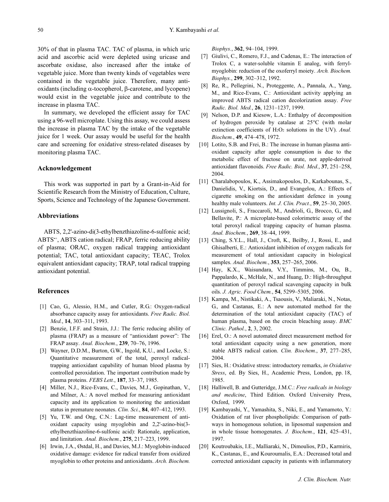30% of that in plasma TAC. TAC of plasma, in which uric acid and ascorbic acid were depleted using uricase and ascorbate oxidase, also increased after the intake of vegetable juice. More than twenty kinds of vegetables were contained in the vegetable juice. Therefore, many antioxidants (including α-tocopherol, β-carotene, and lycopene) would exist in the vegetable juice and contribute to the increase in plasma TAC.

In summary, we developed the efficient assay for TAC using a 96-well microplate. Using this assay, we could assess the increase in plasma TAC by the intake of the vegetable juice for 1 week. Our assay would be useful for the health care and screening for oxidative stress-related diseases by monitoring plasma TAC.

# Acknowledgement

This work was supported in part by a Grant-in-Aid for Scientific Research from the Ministry of Education, Culture, Sports, Science and Technology of the Japanese Government.

#### Abbreviations

ABTS, 2,2'-azino-di(3-ethylbenzthiazoline-6-sulfonic acid; ABTS•+, ABTS cation radical; FRAP, ferric reducing ability of plasma; ORAC, oxygen radical trapping antioxidant potential; TAC, total antioxidant capacity; TEAC, Trolox equivalent antioxidant capacity; TRAP, total radical trapping antioxidant potential.

# **References**

- [1] Cao, G., Alessio, H.M., and Cutler, R.G.: Oxygen-radical absorbance capacity assay for antioxidants. Free Radic. Biol. Med., 14, 303-311, 1993.
- [2] Benzie, I.F.F. and Strain, J.J.: The ferric reducing ability of plasma (FRAP) as a measure of "antioxidant power": The FRAP assay. Anal. Biochem., 239, 70–76, 1996.
- [3] Wayner, D.D.M., Burton, G.W., Ingold, K.U., and Locke, S.: Quantitative measurement of the total, peroxyl radicaltrapping antioxidant capability of human blood plasma by controlled peroxidation. The important contribution made by plasma proteins. FEBS Lett., 187, 33–37, 1985.
- [4] Miller, N.J., Rice-Evans, C., Davies, M.J., Gopinathan, V., and Milner, A.: A novel method for measuring antioxidant capacity and its application to monitoring the antioxidant status in premature neonates. Clin. Sci., 84, 407–412, 1993.
- [5] Yu, T.W. and Ong, C.N.: Lag-time measurement of antioxidant capacity using myoglobin and 2,2'-azino-bis(3 ethylbenzthiazoline-6-sulfonic acid): Rationale, application, and limitation. Anal. Biochem., 275, 217–223, 1999.
- [6] Irwin, J.A., Østdal, H., and Davies, M.J.: Myoglobin-induced oxidative damage: evidence for radical transfer from oxidized myoglobin to other proteins and antioxidants. Arch. Biochem.

Biophys., 362, 94–104, 1999.

- [7] Giulivi, C., Romero, F.J., and Cadenas, E.: The interaction of Trolox C, a water-soluble vitamin E analog, with ferrylmyoglobin: reduction of the oxoferryl moiety. Arch. Biochem. Biophys., 299, 302–312, 1992.
- [8] Re, R., Pellegrini, N., Proteggente, A., Pannala, A., Yang, M., and Rice-Evans, C.: Antioxidant activity applying an improved ABTS radical cation decolorization assay. Free Radic. Biol. Med., 26, 1231–1237, 1999.
- [9] Nelson, D.P. and Kiesow, L.A.: Enthalpy of decomposition of hydrogen peroxide by catalase at 25°C (with molar extinction coefficients of  $H_2O_2$  solutions in the UV). Anal. Biochem., 49, 474–478, 1972.
- [10] Lotito, S.B. and Frei, B.: The increase in human plasma antioxidant capacity after apple consumption is due to the metabolic effect of fructose on urate, not apple-derived antioxidant flavonoids. Free Radic. Biol. Med., 37, 251–258, 2004.
- [11] Charalabopoulos, K., Assimakopoulos, D., Karkabounas, S., Danielidis, V., Kiortsis, D., and Evangelou, A.: Effects of cigarette smoking on the antioxidant defence in young healthy male volunteers. Int. J. Clin. Pract., 59, 25-30, 2005.
- [12] Lussignoli, S., Fraccaroli, M., Andrioli, G., Brocco, G., and Bellavite, P.: A microplate-based colorimetric assay of the total peroxyl radical trapping capacity of human plasma. Anal. Biochem., 269, 38–44, 1999.
- [13] Ching, S.Y.L., Hall, J., Croft, K., Beilby, J., Rossi, E., and Ghisalberti, E.: Antioxidant inhibition of oxygen radicals for measurement of total antioxidant capacity in biological samples. Anal. Biochem., 353, 257–265, 2006.
- [14] Hay, K.X., Waisundara, V.Y., Timmins, M., Ou, B., Pappalardo, K., McHale, N., and Huang, D.: High-throughput quantitation of peroxyl radical scavenging capacity in bulk oils. J. Agric. Food Chem., 54, 5299–5305, 2006.
- [15] Kampa, M., Nistikaki, A., Tsaousis, V., Maliaraki, N., Notas, G., and Castanas, E.: A new automated method for the determination of the total antioxidant capacity (TAC) of human plasma, based on the crocin bleaching assay. BMC Clinic. Pathol., 2, 3, 2002.
- [16] Erel, O.: A novel automated direct measurement method for total antioxidant capacity using a new generation, more stable ABTS radical cation. Clin. Biochem., 37, 277–285, 2004.
- [17] Sies, H.: Oxidative stress: introductory remarks, in Oxidative Stress, ed. By Sies, H., Academic Press, London, pp. 18, 1985.
- [18] Halliwell, B. and Gutteridge, J.M.C.: Free radicals in biology and medicine, Third Edition. Oxford University Press, Oxford, 1999.
- [19] Kambayashi, Y., Yamashita, S., Niki, E., and Yamamoto, Y.: Oxidation of rat liver phospholipids: Comparison of pathways in homogenous solution, in liposomal suspension and in whole tissue homogenates. J. Biochem., 121, 425–431, 1997.
- [20] Koutroubakis, I.E., Malliaraki, N., Dimoulios, P.D., Karmiris, K., Castanas, E., and Kouroumalis, E.A.: Decreased total and corrected antioxidant capacity in patients with inflammatory